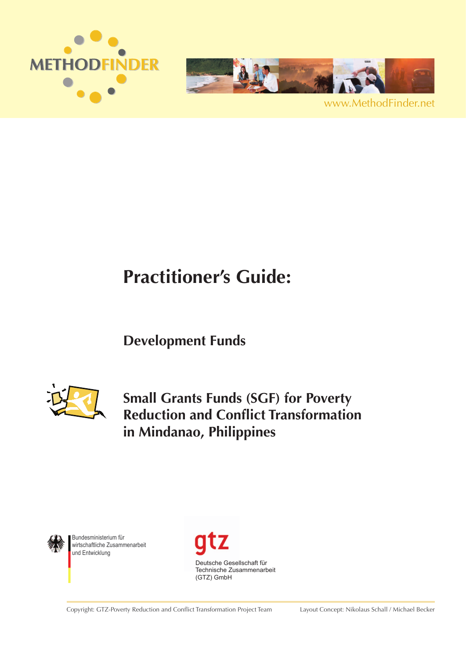



www.MethodFinder.net

# **Practitioner's Guide:**

# **Development Funds**



**Small Grants Funds (SGF) for Poverty Reduction and Conflict Transformation in Mindanao, Philippines**



Bundesministerium für wirtschaftliche Zusammenarbeit und Entwicklung



Copyright: GTZ-Poverty Reduction and Conflict Transformation Project Team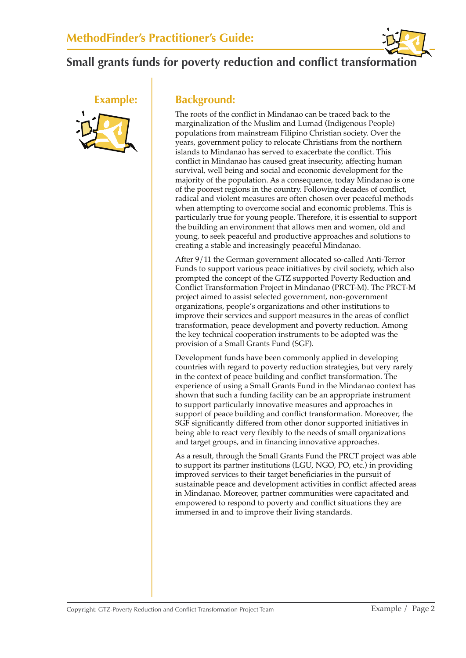



#### **Example: Background:**

The roots of the conflict in Mindanao can be traced back to the marginalization of the Muslim and Lumad (Indigenous People) populations from mainstream Filipino Christian society. Over the years, government policy to relocate Christians from the northern islands to Mindanao has served to exacerbate the conflict. This conflict in Mindanao has caused great insecurity, affecting human survival, well being and social and economic development for the majority of the population. As a consequence, today Mindanao is one of the poorest regions in the country. Following decades of conflict, radical and violent measures are often chosen over peaceful methods when attempting to overcome social and economic problems. This is particularly true for young people. Therefore, it is essential to support the building an environment that allows men and women, old and young, to seek peaceful and productive approaches and solutions to creating a stable and increasingly peaceful Mindanao.

After 9/11 the German government allocated so-called Anti-Terror Funds to support various peace initiatives by civil society, which also prompted the concept of the GTZ supported Poverty Reduction and Conflict Transformation Project in Mindanao (PRCT-M). The PRCT-M project aimed to assist selected government, non-government organizations, people's organizations and other institutions to improve their services and support measures in the areas of conflict transformation, peace development and poverty reduction. Among the key technical cooperation instruments to be adopted was the provision of a Small Grants Fund (SGF).

Development funds have been commonly applied in developing countries with regard to poverty reduction strategies, but very rarely in the context of peace building and conflict transformation. The experience of using a Small Grants Fund in the Mindanao context has shown that such a funding facility can be an appropriate instrument to support particularly innovative measures and approaches in support of peace building and conflict transformation. Moreover, the SGF significantly differed from other donor supported initiatives in being able to react very flexibly to the needs of small organizations and target groups, and in financing innovative approaches.

As a result, through the Small Grants Fund the PRCT project was able to support its partner institutions (LGU, NGO, PO, etc.) in providing improved services to their target beneficiaries in the pursuit of sustainable peace and development activities in conflict affected areas in Mindanao. Moreover, partner communities were capacitated and empowered to respond to poverty and conflict situations they are immersed in and to improve their living standards.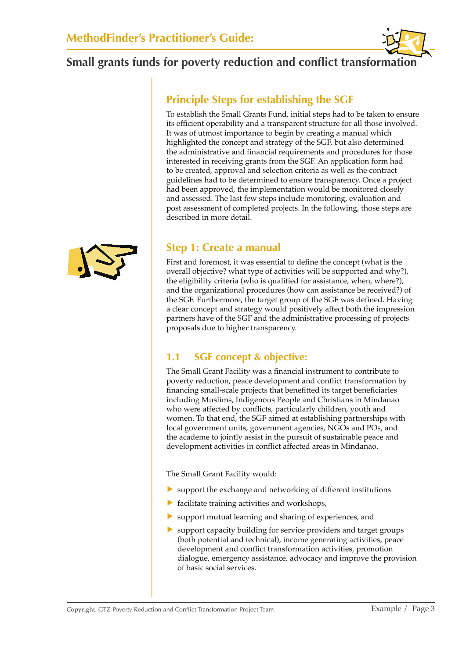### **Principle Steps for establishing the SGF**

To establish the Small Grants Fund, initial steps had to be taken to ensure its efficient operability and a transparent structure for all those involved. It was of utmost importance to begin by creating a manual which highlighted the concept and strategy of the SGF, but also determined the administrative and financial requirements and procedures for those interested in receiving grants from the SGF. An application form had to be created, approval and selection criteria as well as the contract guidelines had to be determined to ensure transparency. Once a project had been approved, the implementation would be monitored closely and assessed. The last few steps include monitoring, evaluation and post assessment of completed projects. In the following, those steps are described in more detail.

#### **Step 1: Create a manual**

First and foremost, it was essential to define the concept (what is the overall objective? what type of activities will be supported and why?), the eligibility criteria (who is qualified for assistance, when, where?), and the organizational procedures (how can assistance be received?) of the SGF. Furthermore, the target group of the SGF was defined. Having a clear concept and strategy would positively affect both the impression partners have of the SGF and the administrative processing of projects proposals due to higher transparency.

#### **1.1 SGF concept & objective:**

The Small Grant Facility was a financial instrument to contribute to poverty reduction, peace development and conflict transformation by financing small-scale projects that benefitted its target beneficiaries including Muslims, Indigenous People and Christians in Mindanao who were affected by conflicts, particularly children, youth and women. To that end, the SGF aimed at establishing partnerships with local government units, government agencies, NGOs and POs, and the academe to jointly assist in the pursuit of sustainable peace and development activities in conflict affected areas in Mindanao.

The Small Grant Facility would:

- ▶ support the exchange and networking of different institutions
- ▶ facilitate training activities and workshops,
- ▶ support mutual learning and sharing of experiences, and
- ▶ support capacity building for service providers and target groups (both potential and technical), income generating activities, peace development and conflict transformation activities, promotion dialogue, emergency assistance, advocacy and improve the provision of basic social services.

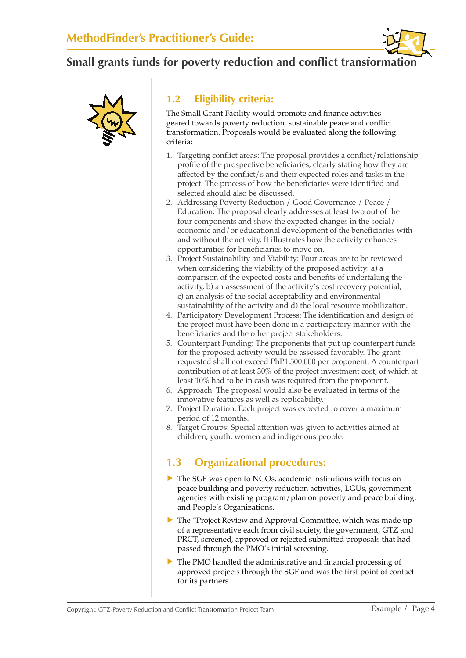



#### **1.2 Eligibility criteria:**

The Small Grant Facility would promote and finance activities geared towards poverty reduction, sustainable peace and conflict transformation. Proposals would be evaluated along the following criteria:

- 1. Targeting conflict areas: The proposal provides a conflict/relationship profile of the prospective beneficiaries, clearly stating how they are affected by the conflict/s and their expected roles and tasks in the project. The process of how the beneficiaries were identified and selected should also be discussed.
- 2. Addressing Poverty Reduction / Good Governance / Peace / Education: The proposal clearly addresses at least two out of the four components and show the expected changes in the social/ economic and/or educational development of the beneficiaries with and without the activity. It illustrates how the activity enhances opportunities for beneficiaries to move on.
- 3. Project Sustainability and Viability: Four areas are to be reviewed when considering the viability of the proposed activity: a) a comparison of the expected costs and benefits of undertaking the activity, b) an assessment of the activity's cost recovery potential, c) an analysis of the social acceptability and environmental sustainability of the activity and d) the local resource mobilization.
- 4. Participatory Development Process: The identification and design of the project must have been done in a participatory manner with the beneficiaries and the other project stakeholders.
- 5. Counterpart Funding: The proponents that put up counterpart funds for the proposed activity would be assessed favorably. The grant requested shall not exceed PhP1,500.000 per proponent. A counterpart contribution of at least 30% of the project investment cost, of which at least 10% had to be in cash was required from the proponent.
- 6. Approach: The proposal would also be evaluated in terms of the innovative features as well as replicability.
- 7. Project Duration: Each project was expected to cover a maximum period of 12 months.
- 8. Target Groups: Special attention was given to activities aimed at children, youth, women and indigenous people.

#### **1.3 Organizational procedures:**

- ▶ The SGF was open to NGOs, academic institutions with focus on peace building and poverty reduction activities, LGUs, government agencies with existing program/plan on poverty and peace building, and People's Organizations.
- ▶ The "Project Review and Approval Committee, which was made up of a representative each from civil society, the government, GTZ and PRCT, screened, approved or rejected submitted proposals that had passed through the PMO's initial screening.
- ▶ The PMO handled the administrative and financial processing of approved projects through the SGF and was the first point of contact for its partners.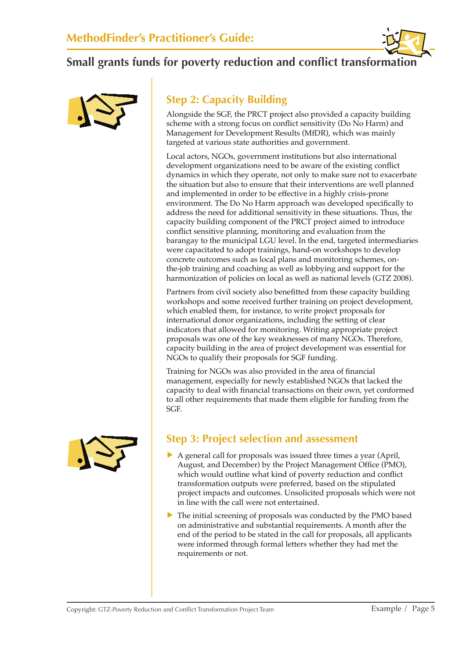



## **Step 2: Capacity Building**

Alongside the SGF, the PRCT project also provided a capacity building scheme with a strong focus on conflict sensitivity (Do No Harm) and Management for Development Results (MfDR), which was mainly targeted at various state authorities and government.

Local actors, NGOs, government institutions but also international development organizations need to be aware of the existing conflict dynamics in which they operate, not only to make sure not to exacerbate the situation but also to ensure that their interventions are well planned and implemented in order to be effective in a highly crisis-prone environment. The Do No Harm approach was developed specifically to address the need for additional sensitivity in these situations. Thus, the capacity building component of the PRCT project aimed to introduce conflict sensitive planning, monitoring and evaluation from the barangay to the municipal LGU level. In the end, targeted intermediaries were capacitated to adopt trainings, hand-on workshops to develop concrete outcomes such as local plans and monitoring schemes, onthe-job training and coaching as well as lobbying and support for the harmonization of policies on local as well as national levels (GTZ 2008).

Partners from civil society also benefitted from these capacity building workshops and some received further training on project development, which enabled them, for instance, to write project proposals for international donor organizations, including the setting of clear indicators that allowed for monitoring. Writing appropriate project proposals was one of the key weaknesses of many NGOs. Therefore, capacity building in the area of project development was essential for NGOs to qualify their proposals for SGF funding.

Training for NGOs was also provided in the area of financial management, especially for newly established NGOs that lacked the capacity to deal with financial transactions on their own, yet conformed to all other requirements that made them eligible for funding from the SGF.



#### **Step 3: Project selection and assessment**

- ▶ A general call for proposals was issued three times a year (April, August, and December) by the Project Management Office (PMO), which would outline what kind of poverty reduction and conflict transformation outputs were preferred, based on the stipulated project impacts and outcomes. Unsolicited proposals which were not in line with the call were not entertained.
- ▶ The initial screening of proposals was conducted by the PMO based on administrative and substantial requirements. A month after the end of the period to be stated in the call for proposals, all applicants were informed through formal letters whether they had met the requirements or not.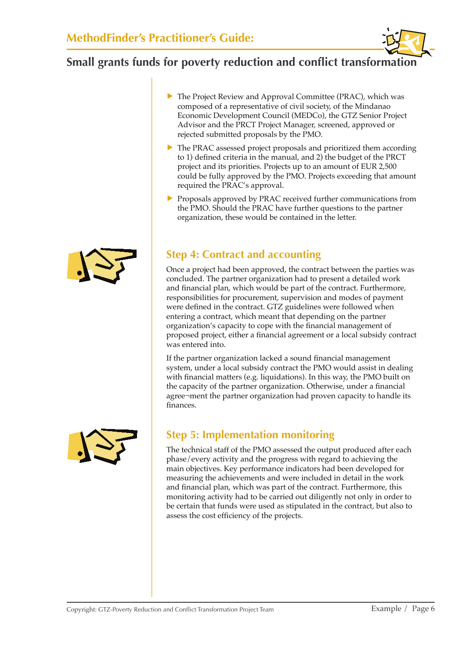- ▶ The Project Review and Approval Committee (PRAC), which was composed of a representative of civil society, of the Mindanao Economic Development Council (MEDCo), the GTZ Senior Project Advisor and the PRCT Project Manager, screened, approved or rejected submitted proposals by the PMO.
- ▶ The PRAC assessed project proposals and prioritized them according to 1) defined criteria in the manual, and 2) the budget of the PRCT project and its priorities. Projects up to an amount of EUR 2,500 could be fully approved by the PMO. Projects exceeding that amount required the PRAC's approval.
- ▶ Proposals approved by PRAC received further communications from the PMO. Should the PRAC have further questions to the partner organization, these would be contained in the letter.

#### **Step 4: Contract and accounting**

Once a project had been approved, the contract between the parties was concluded. The partner organization had to present a detailed work and financial plan, which would be part of the contract. Furthermore, responsibilities for procurement, supervision and modes of payment were defined in the contract. GTZ guidelines were followed when entering a contract, which meant that depending on the partner organization's capacity to cope with the financial management of proposed project, either a financial agreement or a local subsidy contract was entered into.

If the partner organization lacked a sound financial management system, under a local subsidy contract the PMO would assist in dealing with financial matters (e.g. liquidations). In this way, the PMO built on the capacity of the partner organization. Otherwise, under a financial agree¬ment the partner organization had proven capacity to handle its finances.



# **Step 5: Implementation monitoring**

The technical staff of the PMO assessed the output produced after each phase/every activity and the progress with regard to achieving the main objectives. Key performance indicators had been developed for measuring the achievements and were included in detail in the work and financial plan, which was part of the contract. Furthermore, this monitoring activity had to be carried out diligently not only in order to be certain that funds were used as stipulated in the contract, but also to assess the cost efficiency of the projects.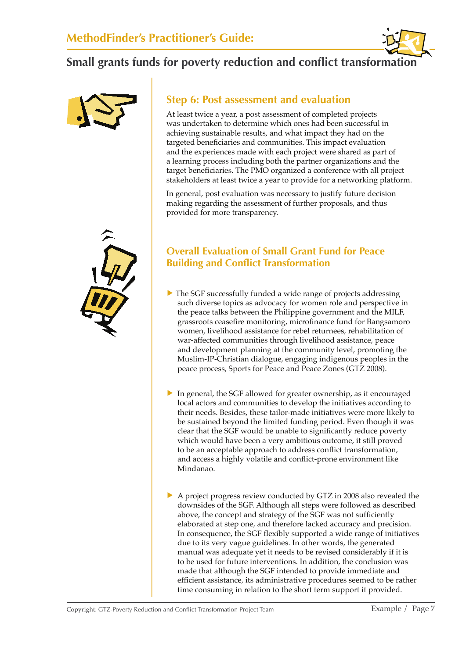



#### **Step 6: Post assessment and evaluation**

At least twice a year, a post assessment of completed projects was undertaken to determine which ones had been successful in achieving sustainable results, and what impact they had on the targeted beneficiaries and communities. This impact evaluation and the experiences made with each project were shared as part of a learning process including both the partner organizations and the target beneficiaries. The PMO organized a conference with all project stakeholders at least twice a year to provide for a networking platform.

In general, post evaluation was necessary to justify future decision making regarding the assessment of further proposals, and thus provided for more transparency.

#### **Overall Evaluation of Small Grant Fund for Peace Building and Conflict Transformation**

- ▶ The SGF successfully funded a wide range of projects addressing such diverse topics as advocacy for women role and perspective in the peace talks between the Philippine government and the MILF, grassroots ceasefire monitoring, microfinance fund for Bangsamoro women, livelihood assistance for rebel returnees, rehabilitation of war-affected communities through livelihood assistance, peace and development planning at the community level, promoting the Muslim-IP-Christian dialogue, engaging indigenous peoples in the peace process, Sports for Peace and Peace Zones (GTZ 2008).
- ▶ In general, the SGF allowed for greater ownership, as it encouraged local actors and communities to develop the initiatives according to their needs. Besides, these tailor-made initiatives were more likely to be sustained beyond the limited funding period. Even though it was clear that the SGF would be unable to significantly reduce poverty which would have been a very ambitious outcome, it still proved to be an acceptable approach to address conflict transformation, and access a highly volatile and conflict-prone environment like Mindanao.
- ▶ A project progress review conducted by GTZ in 2008 also revealed the downsides of the SGF. Although all steps were followed as described above, the concept and strategy of the SGF was not sufficiently elaborated at step one, and therefore lacked accuracy and precision. In consequence, the SGF flexibly supported a wide range of initiatives due to its very vague guidelines. In other words, the generated manual was adequate yet it needs to be revised considerably if it is to be used for future interventions. In addition, the conclusion was made that although the SGF intended to provide immediate and efficient assistance, its administrative procedures seemed to be rather time consuming in relation to the short term support it provided.